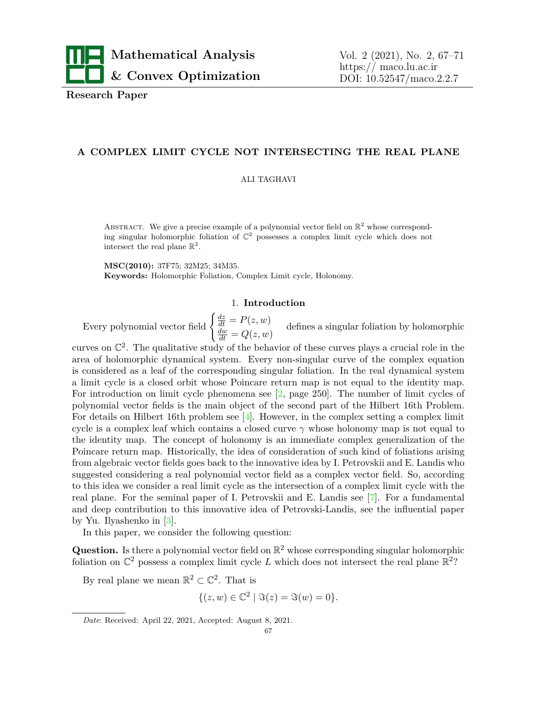

**Research Paper**

# **A COMPLEX LIMIT CYCLE NOT INTERSECTING THE REAL PLANE**

#### ALI TAGHAVI

ABSTRACT. We give a precise example of a polynomial vector field on  $\mathbb{R}^2$  whose corresponding singular holomorphic foliation of  $\mathbb{C}^2$  possesses a complex limit cycle which does not intersect the real plane  $\mathbb{R}^2$ .

**MSC(2010):** 37F75; 32M25; 34M35. **Keywords:** Holomorphic Foliation, Complex Limit cycle, Holonomy.

## 1. **Introduction**

Every polynomial vector field  $\begin{cases} \frac{dz}{dt} = P(z, w) \\ \frac{dw}{dt} = Q(z, w) \end{cases}$ defines a singular foliation by holomorphic

curves on  $\mathbb{C}^2$ . The qualitative study of the behavior of these curves plays a crucial role in the area of holomorphic dynamical system. Every non-singular curve of the complex equation is considered as a leaf of the corresponding singular foliation. In the real dynamical system a limit cycle is a closed orbit whose Poincare return map is not equal to the identity map. For introduction on limit cycle phenomena see [\[2,](#page-4-0) page 250]. The number of limit cycles of polynomial vector fields is the main object of the second part of the Hilbert 16th Problem. For details on Hilbert 16th problem see [\[4\]](#page-4-1). However, in the complex setting a complex limit cycle is a complex leaf which contains a closed curve  $\gamma$  whose holonomy map is not equal to the identity map. The concept of holonomy is an immediate complex generalization of the Poincare return map. Historically, the idea of consideration of such kind of foliations arising from algebraic vector fields goes back to the innovative idea by I. Petrovskii and E. Landis who suggested considering a real polynomial vector field as a complex vector field. So, according to this idea we consider a real limit cycle as the intersection of a complex limit cycle with the real plane. For the seminal paper of I. Petrovskii and E. Landis see [[7](#page-4-2)]. For a fundamental and deep contribution to this innovative idea of Petrovski-Landis, see the influential paper by Yu. Ilyashenko in [[3](#page-4-3)].

In this paper, we consider the following question:

**Question.** Is there a polynomial vector field on  $\mathbb{R}^2$  whose corresponding singular holomorphic foliation on  $\mathbb{C}^2$  possess a complex limit cycle L which does not intersect the real plane  $\mathbb{R}^2$ ?

By real plane we mean  $\mathbb{R}^2 \subset \mathbb{C}^2$ . That is

$$
\{(z, w) \in \mathbb{C}^2 \mid \Im(z) = \Im(w) = 0\}.
$$

*Date*: Received: April 22, 2021, Accepted: August 8, 2021.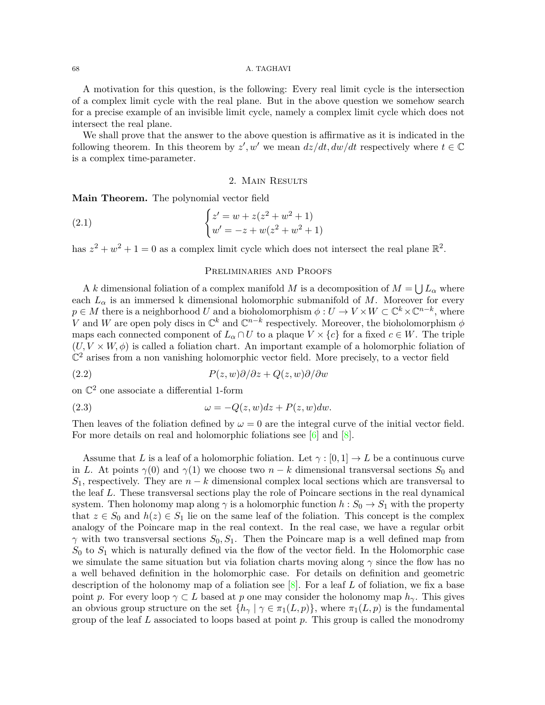## 68 A. TAGHAVI

A motivation for this question, is the following: Every real limit cycle is the intersection of a complex limit cycle with the real plane. But in the above question we somehow search for a precise example of an invisible limit cycle, namely a complex limit cycle which does not intersect the real plane.

We shall prove that the answer to the above question is affirmative as it is indicated in the following theorem. In this theorem by  $z'$ , w' we mean  $dz/dt, dw/dt$  respectively where  $t \in \mathbb{C}$ is a complex time-parameter.

### <span id="page-1-0"></span>2. Main Results

**Main Theorem.** The polynomial vector field

(2.1) 
$$
\begin{cases} z' = w + z(z^2 + w^2 + 1) \\ w' = -z + w(z^2 + w^2 + 1) \end{cases}
$$

has  $z^2 + w^2 + 1 = 0$  as a complex limit cycle which does not intersect the real plane  $\mathbb{R}^2$ .

## Preliminaries and Proofs

A *k* dimensional foliation of a complex manifold *M* is a decomposition of  $M = \bigcup L_{\alpha}$  where each  $L_{\alpha}$  is an immersed k dimensional holomorphic submanifold of M. Moreover for every  $p \in M$  there is a neighborhood *U* and a bioholomorphism  $\phi: U \to V \times W \subset \mathbb{C}^k \times \mathbb{C}^{n-k}$ , where *V* and *W* are open poly discs in  $\mathbb{C}^k$  and  $\mathbb{C}^{n-k}$  respectively. Moreover, the bioholomorphism  $\phi$ maps each connected component of  $L_{\alpha} \cap U$  to a plaque  $V \times \{c\}$  for a fixed  $c \in W$ . The triple  $(U, V \times W, \phi)$  is called a foliation chart. An important example of a holomorphic foliation of  $\mathbb{C}^2$  arises from a non vanishing holomorphic vector field. More precisely, to a vector field

(2.2) 
$$
P(z, w)\partial/\partial z + Q(z, w)\partial/\partial w
$$

on  $\mathbb{C}^2$  one associate a differential 1-form

(2.3) 
$$
\omega = -Q(z, w)dz + P(z, w)dw.
$$

Then leaves of the foliation defined by  $\omega = 0$  are the integral curve of the initial vector field. For more details on real and holomorphic foliations see [\[6\]](#page-4-4) and [[8](#page-4-5)].

Assume that *L* is a leaf of a holomorphic foliation. Let *γ* : [0*,* 1] *→ L* be a continuous curve in *L*. At points  $\gamma(0)$  and  $\gamma(1)$  we choose two  $n-k$  dimensional transversal sections  $S_0$  and *S*1, respectively. They are *n − k* dimensional complex local sections which are transversal to the leaf *L*. These transversal sections play the role of Poincare sections in the real dynamical system. Then holonomy map along  $\gamma$  is a holomorphic function  $h : S_0 \to S_1$  with the property that  $z \in S_0$  and  $h(z) \in S_1$  lie on the same leaf of the foliation. This concept is the complex analogy of the Poincare map in the real context. In the real case, we have a regular orbit *γ* with two transversal sections  $S_0$ ,  $S_1$ . Then the Poincare map is a well defined map from  $S_0$  to  $S_1$  which is naturally defined via the flow of the vector field. In the Holomorphic case we simulate the same situation but via foliation charts moving along  $\gamma$  since the flow has no a well behaved definition in the holomorphic case. For details on definition and geometric description of the holonomy map of a foliation see [[8\]](#page-4-5). For a leaf *L* of foliation, we fix a base point *p*. For every loop  $\gamma \subset L$  based at *p* one may consider the holonomy map  $h_{\gamma}$ . This gives an obvious group structure on the set  $\{h_{\gamma} \mid \gamma \in \pi_1(L, p)\}$ , where  $\pi_1(L, p)$  is the fundamental group of the leaf *L* associated to loops based at point *p*. This group is called the monodromy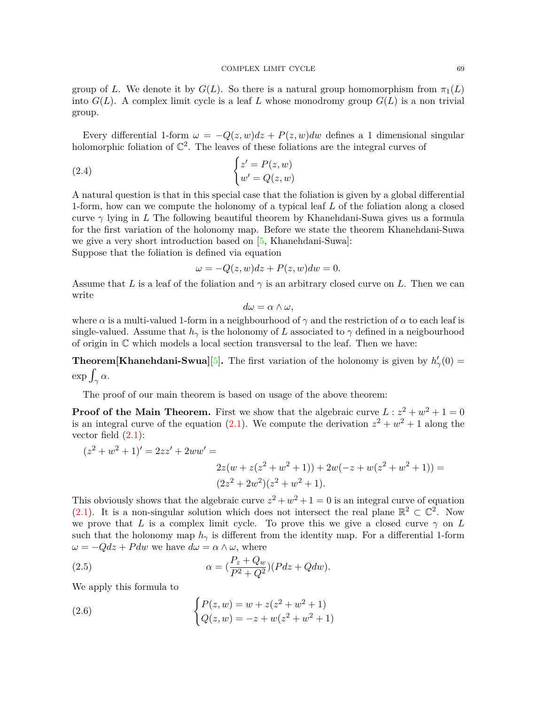### COMPLEX LIMIT CYCLE 69

group of *L*. We denote it by  $G(L)$ . So there is a natural group homomorphism from  $\pi_1(L)$ into  $G(L)$ . A complex limit cycle is a leaf L whose monodromy group  $G(L)$  is a non trivial group.

Every differential 1-form  $\omega = -Q(z, w)dz + P(z, w)dw$  defines a 1 dimensional singular holomorphic foliation of  $\mathbb{C}^2$ . The leaves of these foliations are the integral curves of

(2.4) 
$$
\begin{cases} z' = P(z, w) \\ w' = Q(z, w) \end{cases}
$$

A natural question is that in this special case that the foliation is given by a global differential 1-form, how can we compute the holonomy of a typical leaf *L* of the foliation along a closed curve  $\gamma$  lying in *L* The following beautiful theorem by Khanehdani-Suwa gives us a formula for the first variation of the holonomy map. Before we state the theorem Khanehdani-Suwa we give a very short introduction based on [[5,](#page-4-6) Khanehdani-Suwa]:

Suppose that the foliation is defined via equation

$$
\omega = -Q(z, w)dz + P(z, w)dw = 0.
$$

Assume that *L* is a leaf of the foliation and  $\gamma$  is an arbitrary closed curve on *L*. Then we can write

$$
d\omega = \alpha \wedge \omega,
$$

where  $\alpha$  is a multi-valued 1-form in a neighbourhood of  $\gamma$  and the restriction of  $\alpha$  to each leaf is single-valued. Assume that  $h_{\gamma}$  is the holonomy of *L* associated to  $\gamma$  defined in a neigbourhood of origin in C which models a local section transversal to the leaf. Then we have:

**Theorem[Khanehdani-Swua][\[5\]](#page-4-6).** The first variation of the holonomy is given by  $h'_{\gamma}(0) =$  $\exp \int_{\gamma} \alpha.$ 

The proof of our main theorem is based on usage of the above theorem:

**Proof of the Main Theorem.** First we show that the algebraic curve  $L: z^2 + w^2 + 1 = 0$ is an integral curve of the equation  $(2.1)$  $(2.1)$ . We compute the derivation  $z^2 + w^2 + 1$  along the vector field  $(2.1)$  $(2.1)$ :

$$
(z2 + w2 + 1)' = 2zz' + 2ww' =
$$

<span id="page-2-0"></span>
$$
2z(w + z(z2 + w2 + 1)) + 2w(-z + w(z2 + w2 + 1)) =
$$
  
(2z<sup>2</sup> + 2w<sup>2</sup>)(z<sup>2</sup> + w<sup>2</sup> + 1).

This obviously shows that the algebraic curve  $z^2 + w^2 + 1 = 0$  is an integral curve of equation [\(2.1](#page-1-0)). It is a non-singular solution which does not intersect the real plane  $\mathbb{R}^2 \subset \mathbb{C}^2$ . Now we prove that *L* is a complex limit cycle. To prove this we give a closed curve  $\gamma$  on *L* such that the holonomy map  $h_{\gamma}$  is different from the identity map. For a differential 1-form  $\omega = -Qdz + Pdw$  we have  $d\omega = \alpha \wedge \omega$ , where

(2.5) 
$$
\alpha = \left(\frac{P_z + Q_w}{P^2 + Q^2}\right)(Pdz + Qdw).
$$

We apply this formula to

(2.6) 
$$
\begin{cases} P(z,w) = w + z(z^2 + w^2 + 1) \\ Q(z,w) = -z + w(z^2 + w^2 + 1) \end{cases}
$$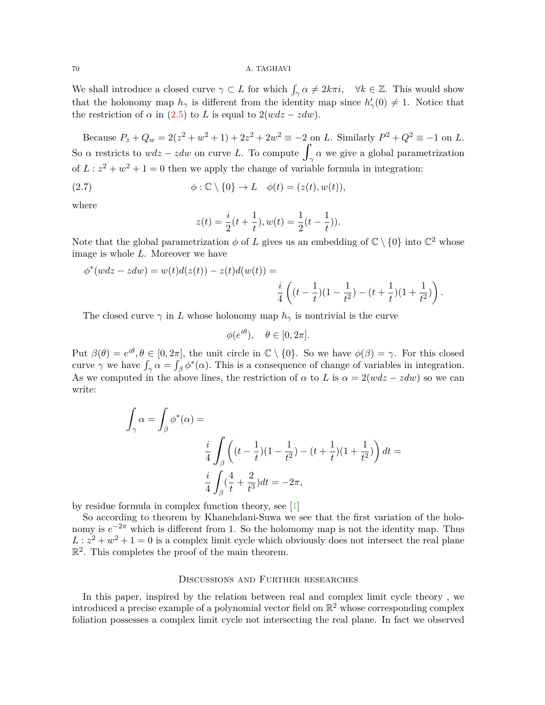## 70 A. TAGHAVI

We shall introduce a closed curve  $\gamma \subset L$  for which  $\int_{\gamma} \alpha \neq 2k\pi i$ ,  $\forall k \in \mathbb{Z}$ . This would show that the holonomy map  $h_{\gamma}$  is different from the identity map since  $h'_{\gamma}(0) \neq 1$ . Notice that the restriction of  $\alpha$  in [\(2.5](#page-2-0)) to *L* is equal to  $2(wdz - zdw)$ .

Because  $P_z + Q_w = 2(z^2 + w^2 + 1) + 2z^2 + 2w^2 \equiv -2$  on *L*. Similarly  $P^2 + Q^2 \equiv -1$  on *L*. So  $\alpha$  restricts to  $wdz - zdw$  on curve *L*. To compute  $\int_{\gamma} \alpha$  we give a global parametrization of  $L: z^2 + w^2 + 1 = 0$  then we apply the change of variable formula in integration:

(2.7) 
$$
\phi : \mathbb{C} \setminus \{0\} \to L \quad \phi(t) = (z(t), w(t)),
$$

where

$$
z(t) = \frac{i}{2}(t + \frac{1}{t}), w(t) = \frac{1}{2}(t - \frac{1}{t})).
$$

Note that the global parametrization  $\phi$  of *L* gives us an embedding of  $\mathbb{C} \setminus \{0\}$  into  $\mathbb{C}^2$  whose image is whole *L*. Moreover we have

$$
\phi^*(wdz - zdw) = w(t)d(z(t)) - z(t)d(w(t)) =
$$
  

$$
\frac{i}{4}\left((t - \frac{1}{t})(1 - \frac{1}{t^2}) - (t + \frac{1}{t})(1 + \frac{1}{t^2})\right).
$$

The closed curve  $\gamma$  in *L* whose holonomy map  $h_{\gamma}$  is nontrivial is the curve

$$
\phi(e^{i\theta}), \quad \theta \in [0, 2\pi].
$$

Put  $\beta(\theta) = e^{i\theta}, \theta \in [0, 2\pi]$ , the unit circle in  $\mathbb{C} \setminus \{0\}$ . So we have  $\phi(\beta) = \gamma$ . For this closed curve  $\gamma$  we have  $\int_{\gamma} \alpha = \int_{\beta} \phi^*(\alpha)$ . This is a consequence of change of variables in integration. As we computed in the above lines, the restriction of  $\alpha$  to *L* is  $\alpha = 2(wdz - zdw)$  so we can write:

$$
\int_{\gamma} \alpha = \int_{\beta} \phi^*(\alpha) =
$$
\n
$$
\frac{i}{4} \int_{\beta} \left( (t - \frac{1}{t})(1 - \frac{1}{t^2}) - (t + \frac{1}{t})(1 + \frac{1}{t^2}) \right) dt =
$$
\n
$$
\frac{i}{4} \int_{\beta} (\frac{4}{t} + \frac{2}{t^3}) dt = -2\pi,
$$

by residue formula in complex function theory, see [\[1\]](#page-4-7)

So according to theorem by Khanehdani-Suwa we see that the first variation of the holonomy is  $e^{-2\pi}$  which is different from 1. So the holomomy map is not the identity map. Thus  $L: z^2 + w^2 + 1 = 0$  is a complex limit cycle which obviously does not intersect the real plane  $\mathbb{R}^2$ . This completes the proof of the main theorem.

## Discussions and Further researches

In this paper, inspired by the relation between real and complex limit cycle theory , we introduced a precise example of a polynomial vector field on  $\mathbb{R}^2$  whose corresponding complex foliation possesses a complex limit cycle not intersecting the real plane. In fact we observed